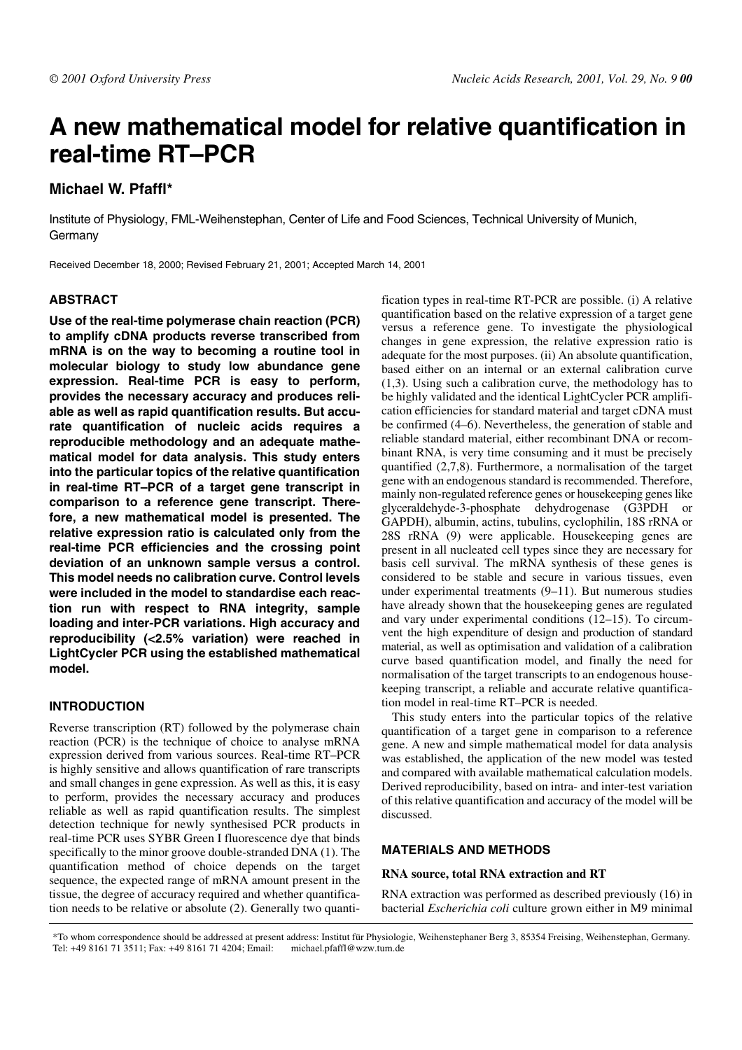# **A new mathematical model for relative quantification in real-time RT–PCR**

# **Michael W. Pfaffl\***

Institute of Physiology, FML-Weihenstephan, Center of Life and Food Sciences, Technical University of Munich, **Germany** 

Received December 18, 2000; Revised February 21, 2001; Accepted March 14, 2001

# **ABSTRACT**

**Use of the real-time polymerase chain reaction (PCR) to amplify cDNA products reverse transcribed from mRNA is on the way to becoming a routine tool in molecular biology to study low abundance gene expression. Real-time PCR is easy to perform, provides the necessary accuracy and produces reliable as well as rapid quantification results. But accurate quantification of nucleic acids requires a reproducible methodology and an adequate mathematical model for data analysis. This study enters into the particular topics of the relative quantification in real-time RT–PCR of a target gene transcript in comparison to a reference gene transcript. Therefore, a new mathematical model is presented. The relative expression ratio is calculated only from the real-time PCR efficiencies and the crossing point deviation of an unknown sample versus a control. This model needs no calibration curve. Control levels were included in the model to standardise each reaction run with respect to RNA integrity, sample loading and inter-PCR variations. High accuracy and reproducibility (<2.5% variation) were reached in LightCycler PCR using the established mathematical model.**

# **INTRODUCTION**

Reverse transcription (RT) followed by the polymerase chain reaction (PCR) is the technique of choice to analyse mRNA expression derived from various sources. Real-time RT–PCR is highly sensitive and allows quantification of rare transcripts and small changes in gene expression. As well as this, it is easy to perform, provides the necessary accuracy and produces reliable as well as rapid quantification results. The simplest detection technique for newly synthesised PCR products in real-time PCR uses SYBR Green I fluorescence dye that binds specifically to the minor groove double-stranded DNA (1). The quantification method of choice depends on the target sequence, the expected range of mRNA amount present in the tissue, the degree of accuracy required and whether quantification needs to be relative or absolute (2). Generally two quantification types in real-time RT-PCR are possible. (i) A relative quantification based on the relative expression of a target gene versus a reference gene. To investigate the physiological changes in gene expression, the relative expression ratio is adequate for the most purposes. (ii) An absolute quantification, based either on an internal or an external calibration curve (1,3). Using such a calibration curve, the methodology has to be highly validated and the identical LightCycler PCR amplification efficiencies for standard material and target cDNA must be confirmed (4–6). Nevertheless, the generation of stable and reliable standard material, either recombinant DNA or recombinant RNA, is very time consuming and it must be precisely quantified (2,7,8). Furthermore, a normalisation of the target gene with an endogenous standard is recommended. Therefore, mainly non-regulated reference genes or housekeeping genes like glyceraldehyde-3-phosphate dehydrogenase (G3PDH or GAPDH), albumin, actins, tubulins, cyclophilin, 18S rRNA or 28S rRNA (9) were applicable. Housekeeping genes are present in all nucleated cell types since they are necessary for basis cell survival. The mRNA synthesis of these genes is considered to be stable and secure in various tissues, even under experimental treatments (9–11). But numerous studies have already shown that the housekeeping genes are regulated and vary under experimental conditions (12–15). To circumvent the high expenditure of design and production of standard material, as well as optimisation and validation of a calibration curve based quantification model, and finally the need for normalisation of the target transcripts to an endogenous housekeeping transcript, a reliable and accurate relative quantification model in real-time RT–PCR is needed.

This study enters into the particular topics of the relative quantification of a target gene in comparison to a reference gene. A new and simple mathematical model for data analysis was established, the application of the new model was tested and compared with available mathematical calculation models. Derived reproducibility, based on intra- and inter-test variation of this relative quantification and accuracy of the model will be discussed.

### **MATERIALS AND METHODS**

#### **RNA source, total RNA extraction and RT**

RNA extraction was performed as described previously (16) in bacterial *Escherichia coli* culture grown either in M9 minimal

\*To whom correspondence should be addressed at present address: Institut für Physiologie, Weihenstephaner Berg 3, 85354 Freising, Weihenstephan, Germany. Tel: +49 8161 71 3511; Fax: +49 8161 71 4204; Email: michael.pfaffl@wzw.tum.de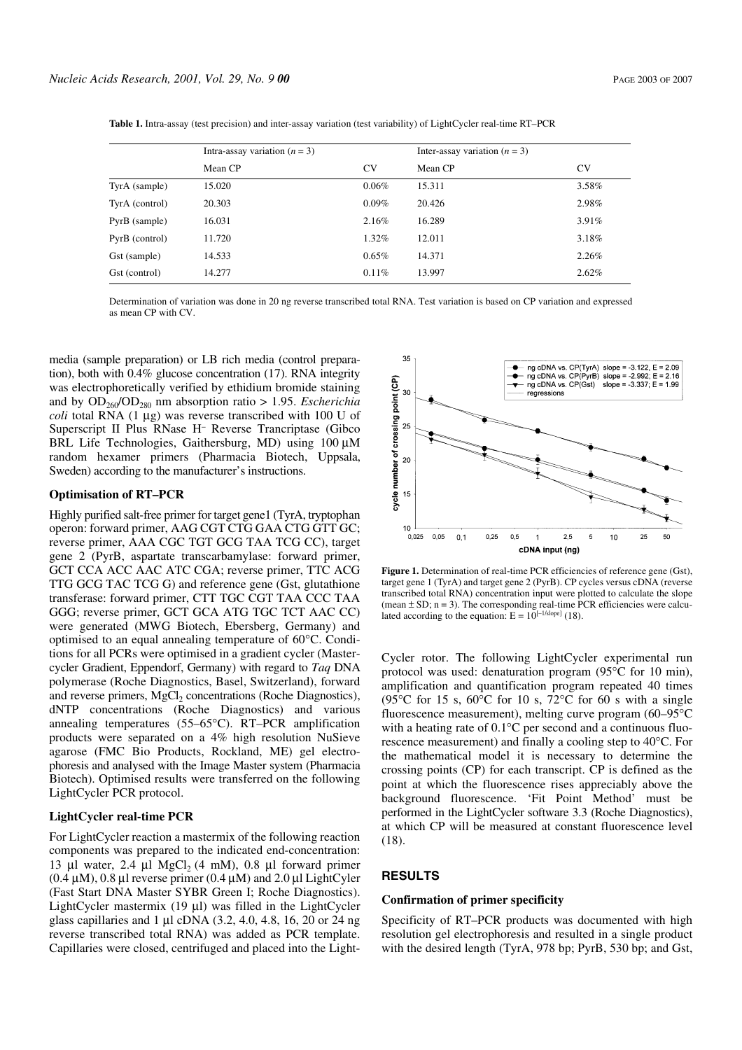|  |  | Table 1. Intra-assay (test precision) and inter-assay variation (test variability) of LightCycler real-time RT-PCR |  |  |  |
|--|--|--------------------------------------------------------------------------------------------------------------------|--|--|--|
|--|--|--------------------------------------------------------------------------------------------------------------------|--|--|--|

|                | Intra-assay variation $(n = 3)$ |           | Inter-assay variation $(n = 3)$ |           |
|----------------|---------------------------------|-----------|---------------------------------|-----------|
|                | Mean CP                         | <b>CV</b> | Mean CP                         | <b>CV</b> |
| TyrA (sample)  | 15.020                          | 0.06%     | 15.311                          | 3.58%     |
| TyrA (control) | 20.303                          | $0.09\%$  | 20.426                          | 2.98%     |
| PyrB (sample)  | 16.031                          | 2.16%     | 16.289                          | 3.91%     |
| PyrB (control) | 11.720                          | 1.32%     | 12.011                          | 3.18%     |
| Gst (sample)   | 14.533                          | 0.65%     | 14.371                          | 2.26%     |
| Gst (control)  | 14.277                          | 0.11%     | 13.997                          | $2.62\%$  |

Determination of variation was done in 20 ng reverse transcribed total RNA. Test variation is based on CP variation and expressed as mean CP with CV.

media (sample preparation) or LB rich media (control preparation), both with 0.4% glucose concentration (17). RNA integrity was electrophoretically verified by ethidium bromide staining and by  $OD_{260}/OD_{280}$  nm absorption ratio > 1.95. *Escherichia coli* total RNA (1 µg) was reverse transcribed with 100 U of Superscript II Plus RNase H– Reverse Trancriptase (Gibco BRL Life Technologies, Gaithersburg, MD) using 100  $\mu$ M random hexamer primers (Pharmacia Biotech, Uppsala, Sweden) according to the manufacturer's instructions.

## **Optimisation of RT–PCR**

Highly purified salt-free primer for target gene1 (TyrA, tryptophan operon: forward primer, AAG CGT CTG GAA CTG GTT GC; reverse primer, AAA CGC TGT GCG TAA TCG CC), target gene 2 (PyrB, aspartate transcarbamylase: forward primer, GCT CCA ACC AAC ATC CGA; reverse primer, TTC ACG TTG GCG TAC TCG G) and reference gene (Gst, glutathione transferase: forward primer, CTT TGC CGT TAA CCC TAA GGG; reverse primer, GCT GCA ATG TGC TCT AAC CC) were generated (MWG Biotech, Ebersberg, Germany) and optimised to an equal annealing temperature of 60°C. Conditions for all PCRs were optimised in a gradient cycler (Mastercycler Gradient, Eppendorf, Germany) with regard to *Taq* DNA polymerase (Roche Diagnostics, Basel, Switzerland), forward and reverse primers,  $MgCl<sub>2</sub>$  concentrations (Roche Diagnostics), dNTP concentrations (Roche Diagnostics) and various annealing temperatures (55–65°C). RT–PCR amplification products were separated on a 4% high resolution NuSieve agarose (FMC Bio Products, Rockland, ME) gel electrophoresis and analysed with the Image Master system (Pharmacia Biotech). Optimised results were transferred on the following LightCycler PCR protocol.

#### **LightCycler real-time PCR**

For LightCycler reaction a mastermix of the following reaction components was prepared to the indicated end-concentration: 13 µl water, 2.4 µl MgCl<sub>2</sub> (4 mM), 0.8 µl forward primer  $(0.4 \mu M)$ , 0.8  $\mu$ l reverse primer  $(0.4 \mu M)$  and 2.0  $\mu$ l LightCyler (Fast Start DNA Master SYBR Green I; Roche Diagnostics). LightCycler mastermix (19 µl) was filled in the LightCycler glass capillaries and 1 µl cDNA (3.2, 4.0, 4.8, 16, 20 or 24 ng reverse transcribed total RNA) was added as PCR template. Capillaries were closed, centrifuged and placed into the Light-



**Figure 1.** Determination of real-time PCR efficiencies of reference gene (Gst), target gene 1 (TyrA) and target gene 2 (PyrB). CP cycles versus cDNA (reverse transcribed total RNA) concentration input were plotted to calculate the slope (mean  $\pm$  SD; n = 3). The corresponding real-time PCR efficiencies were calculated according to the equation:  $E = 10^{[-1/\text{slope}]}$  (18).

Cycler rotor. The following LightCycler experimental run protocol was used: denaturation program (95°C for 10 min), amplification and quantification program repeated 40 times (95 $\degree$ C for 15 s, 60 $\degree$ C for 10 s, 72 $\degree$ C for 60 s with a single fluorescence measurement), melting curve program (60–95°C with a heating rate of  $0.1^{\circ}$ C per second and a continuous fluorescence measurement) and finally a cooling step to 40°C. For the mathematical model it is necessary to determine the crossing points (CP) for each transcript. CP is defined as the point at which the fluorescence rises appreciably above the background fluorescence. 'Fit Point Method' must be performed in the LightCycler software 3.3 (Roche Diagnostics), at which CP will be measured at constant fluorescence level (18).

# **RESULTS**

# **Confirmation of primer specificity**

Specificity of RT–PCR products was documented with high resolution gel electrophoresis and resulted in a single product with the desired length (TyrA, 978 bp; PyrB, 530 bp; and Gst,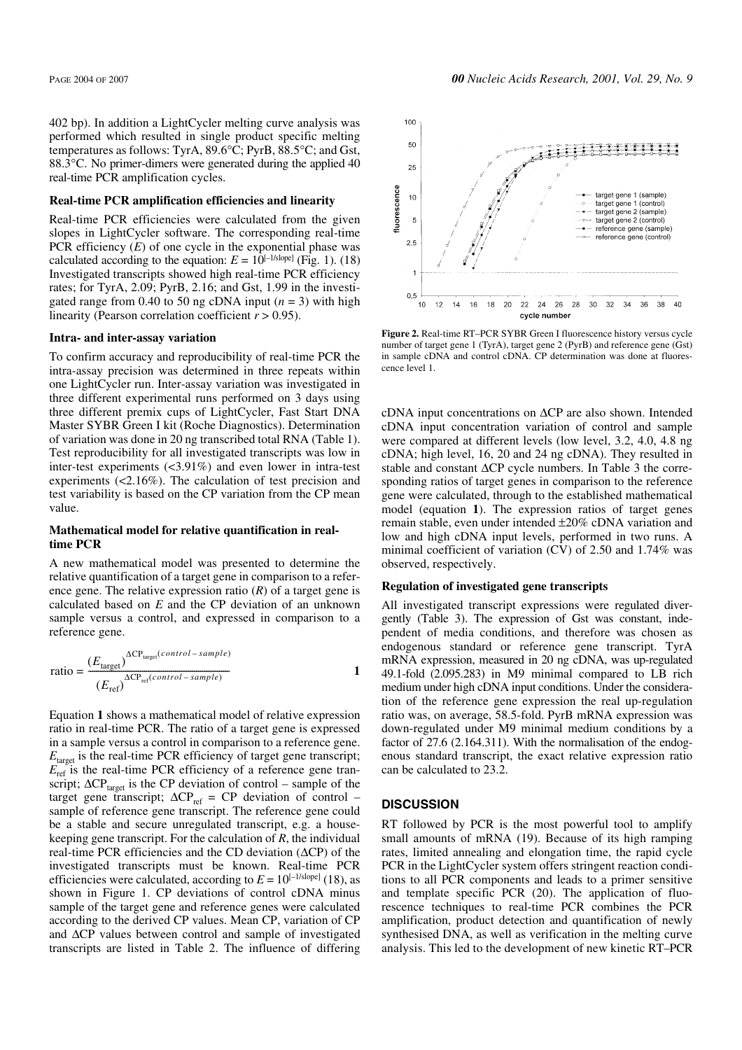402 bp). In addition a LightCycler melting curve analysis was performed which resulted in single product specific melting temperatures as follows: TyrA, 89.6°C; PyrB, 88.5°C; and Gst, 88.3°C. No primer-dimers were generated during the applied 40 real-time PCR amplification cycles.

## **Real-time PCR amplification efficiencies and linearity**

Real-time PCR efficiencies were calculated from the given slopes in LightCycler software. The corresponding real-time PCR efficiency (*E*) of one cycle in the exponential phase was calculated according to the equation:  $E = 10^{[-1/\text{slope}]}$  (Fig. 1). (18) Investigated transcripts showed high real-time PCR efficiency rates; for TyrA, 2.09; PyrB, 2.16; and Gst, 1.99 in the investigated range from 0.40 to 50 ng cDNA input  $(n = 3)$  with high linearity (Pearson correlation coefficient *r* > 0.95).

#### **Intra- and inter-assay variation**

To confirm accuracy and reproducibility of real-time PCR the intra-assay precision was determined in three repeats within one LightCycler run. Inter-assay variation was investigated in three different experimental runs performed on 3 days using three different premix cups of LightCycler, Fast Start DNA Master SYBR Green I kit (Roche Diagnostics). Determination of variation was done in 20 ng transcribed total RNA (Table 1). Test reproducibility for all investigated transcripts was low in inter-test experiments (<3.91%) and even lower in intra-test experiments (<2.16%). The calculation of test precision and test variability is based on the CP variation from the CP mean value.

#### **Mathematical model for relative quantification in realtime PCR**

A new mathematical model was presented to determine the relative quantification of a target gene in comparison to a reference gene. The relative expression ratio  $(R)$  of a target gene is calculated based on *E* and the CP deviation of an unknown sample versus a control, and expressed in comparison to a reference gene.

ratio = 
$$
\frac{(E_{\text{target}})^{\Delta CP_{\text{target}}(control-sample)} (E_{\text{ref}})^{\Delta CP_{\text{ref}}(control-sample)}}
$$

Equation **1** shows a mathematical model of relative expression ratio in real-time PCR. The ratio of a target gene is expressed in a sample versus a control in comparison to a reference gene.  $E<sub>target</sub>$  is the real-time PCR efficiency of target gene transcript;  $E_{\text{ref}}$  is the real-time PCR efficiency of a reference gene transcript;  $\Delta CP_{\text{target}}$  is the CP deviation of control – sample of the target gene transcript;  $\Delta CP_{ref} = CP$  deviation of control – sample of reference gene transcript. The reference gene could be a stable and secure unregulated transcript, e.g. a housekeeping gene transcript. For the calculation of *R*, the individual real-time PCR efficiencies and the CD deviation (∆CP) of the investigated transcripts must be known. Real-time PCR efficiencies were calculated, according to  $E = 10^{[-1/\text{slope}]}$  (18), as shown in Figure 1. CP deviations of control cDNA minus sample of the target gene and reference genes were calculated according to the derived CP values. Mean CP, variation of CP and ∆CP values between control and sample of investigated transcripts are listed in Table 2. The influence of differing



**Figure 2.** Real-time RT–PCR SYBR Green I fluorescence history versus cycle number of target gene 1 (TyrA), target gene 2 (PyrB) and reference gene (Gst) in sample cDNA and control cDNA. CP determination was done at fluorescence level 1.

cDNA input concentrations on ∆CP are also shown. Intended cDNA input concentration variation of control and sample were compared at different levels (low level, 3.2, 4.0, 4.8 ng cDNA; high level, 16, 20 and 24 ng cDNA). They resulted in stable and constant ∆CP cycle numbers. In Table 3 the corresponding ratios of target genes in comparison to the reference gene were calculated, through to the established mathematical model (equation **1**). The expression ratios of target genes remain stable, even under intended ±20% cDNA variation and low and high cDNA input levels, performed in two runs. A minimal coefficient of variation (CV) of 2.50 and 1.74% was observed, respectively.

#### **Regulation of investigated gene transcripts**

All investigated transcript expressions were regulated divergently (Table 3). The expression of Gst was constant, independent of media conditions, and therefore was chosen as endogenous standard or reference gene transcript. TyrA mRNA expression, measured in 20 ng cDNA, was up-regulated 49.1-fold (2.095.283) in M9 minimal compared to LB rich medium under high cDNA input conditions. Under the consideration of the reference gene expression the real up-regulation ratio was, on average, 58.5-fold. PyrB mRNA expression was down-regulated under M9 minimal medium conditions by a factor of 27.6 (2.164.311). With the normalisation of the endogenous standard transcript, the exact relative expression ratio can be calculated to 23.2.

#### **DISCUSSION**

RT followed by PCR is the most powerful tool to amplify small amounts of mRNA (19). Because of its high ramping rates, limited annealing and elongation time, the rapid cycle PCR in the LightCycler system offers stringent reaction conditions to all PCR components and leads to a primer sensitive and template specific PCR (20). The application of fluorescence techniques to real-time PCR combines the PCR amplification, product detection and quantification of newly synthesised DNA, as well as verification in the melting curve analysis. This led to the development of new kinetic RT–PCR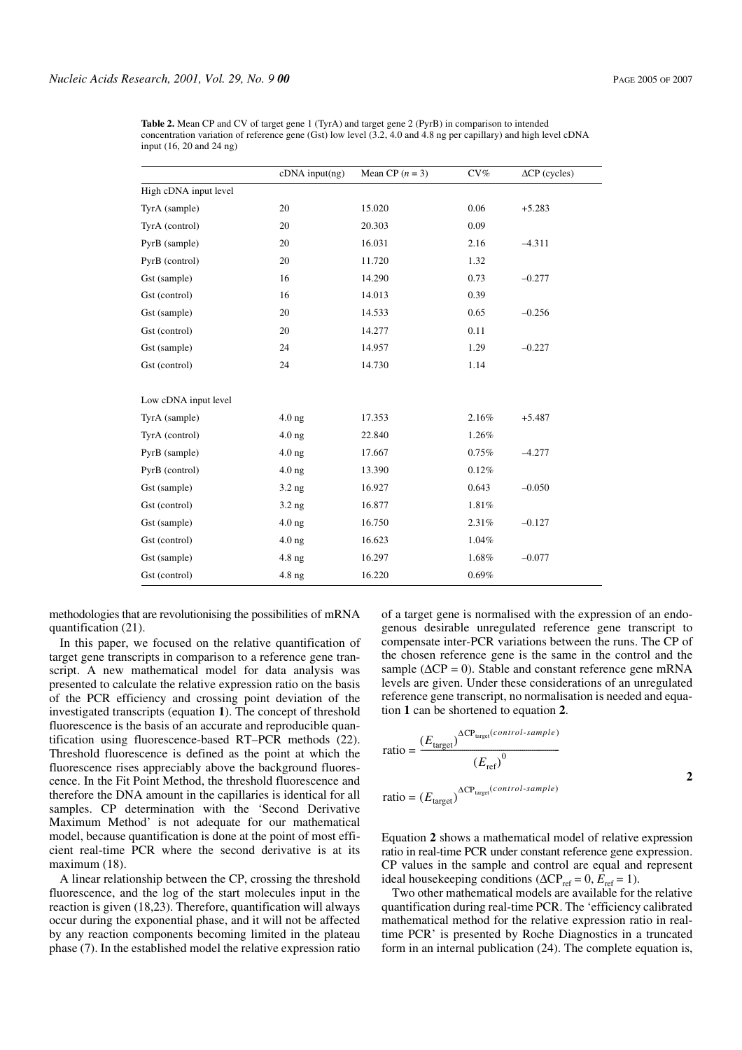**Table 2.** Mean CP and CV of target gene 1 (TyrA) and target gene 2 (PyrB) in comparison to intended concentration variation of reference gene (Gst) low level (3.2, 4.0 and 4.8 ng per capillary) and high level cDNA input (16, 20 and 24 ng)

|                       | cDNA input(ng)    | Mean CP $(n = 3)$ | CV%   | $\Delta CP$ (cycles) |
|-----------------------|-------------------|-------------------|-------|----------------------|
| High cDNA input level |                   |                   |       |                      |
| TyrA (sample)         | 20                | 15.020            | 0.06  | $+5.283$             |
| TyrA (control)        | 20                | 20.303            | 0.09  |                      |
| PyrB (sample)         | 20                | 16.031            | 2.16  | $-4.311$             |
| PyrB (control)        | 20                | 11.720            | 1.32  |                      |
| Gst (sample)          | 16                | 14.290            | 0.73  | $-0.277$             |
| Gst (control)         | 16                | 14.013            | 0.39  |                      |
| Gst (sample)          | 20                | 14.533            | 0.65  | $-0.256$             |
| Gst (control)         | 20                | 14.277            | 0.11  |                      |
| Gst (sample)          | 24                | 14.957            | 1.29  | $-0.227$             |
| Gst (control)         | 24                | 14.730            | 1.14  |                      |
|                       |                   |                   |       |                      |
| Low cDNA input level  |                   |                   |       |                      |
| TyrA (sample)         | 4.0 <sub>ng</sub> | 17.353            | 2.16% | $+5.487$             |
| TyrA (control)        | 4.0 <sub>ng</sub> | 22.840            | 1.26% |                      |
| PyrB (sample)         | 4.0 <sub>ng</sub> | 17.667            | 0.75% | $-4.277$             |
| PyrB (control)        | 4.0 <sub>ng</sub> | 13.390            | 0.12% |                      |
| Gst (sample)          | $3.2$ ng          | 16.927            | 0.643 | $-0.050$             |
| Gst (control)         | $3.2$ ng          | 16.877            | 1.81% |                      |
| Gst (sample)          | 4.0 <sub>ng</sub> | 16.750            | 2.31% | $-0.127$             |
| Gst (control)         | 4.0 <sub>ng</sub> | 16.623            | 1.04% |                      |
| Gst (sample)          | $4.8$ ng          | 16.297            | 1.68% | $-0.077$             |
| Gst (control)         | 4.8 ng            | 16.220            | 0.69% |                      |

methodologies that are revolutionising the possibilities of mRNA quantification (21).

In this paper, we focused on the relative quantification of target gene transcripts in comparison to a reference gene transcript. A new mathematical model for data analysis was presented to calculate the relative expression ratio on the basis of the PCR efficiency and crossing point deviation of the investigated transcripts (equation **1**). The concept of threshold fluorescence is the basis of an accurate and reproducible quantification using fluorescence-based RT–PCR methods (22). Threshold fluorescence is defined as the point at which the fluorescence rises appreciably above the background fluorescence. In the Fit Point Method, the threshold fluorescence and therefore the DNA amount in the capillaries is identical for all samples. CP determination with the 'Second Derivative Maximum Method' is not adequate for our mathematical model, because quantification is done at the point of most efficient real-time PCR where the second derivative is at its maximum (18).

A linear relationship between the CP, crossing the threshold fluorescence, and the log of the start molecules input in the reaction is given (18,23). Therefore, quantification will always occur during the exponential phase, and it will not be affected by any reaction components becoming limited in the plateau phase (7). In the established model the relative expression ratio of a target gene is normalised with the expression of an endogenous desirable unregulated reference gene transcript to compensate inter-PCR variations between the runs. The CP of the chosen reference gene is the same in the control and the sample ( $\Delta CP = 0$ ). Stable and constant reference gene mRNA levels are given. Under these considerations of an unregulated reference gene transcript, no normalisation is needed and equation **1** can be shortened to equation **2**.

ratio = 
$$
\frac{(E_{\text{target}})^{\Delta CP_{\text{target}}(control-sample)}}{(E_{\text{ref}})^{0}}
$$
  
ratio =  $(E_{\text{target}})^{\Delta CP_{\text{target}}(control-sample)}$ 

Equation **2** shows a mathematical model of relative expression ratio in real-time PCR under constant reference gene expression. CP values in the sample and control are equal and represent ideal housekeeping conditions ( $\Delta CP_{ref} = 0$ ,  $\vec{E}_{ref} = 1$ ).

Two other mathematical models are available for the relative quantification during real-time PCR. The 'efficiency calibrated mathematical method for the relative expression ratio in realtime PCR' is presented by Roche Diagnostics in a truncated form in an internal publication (24). The complete equation is,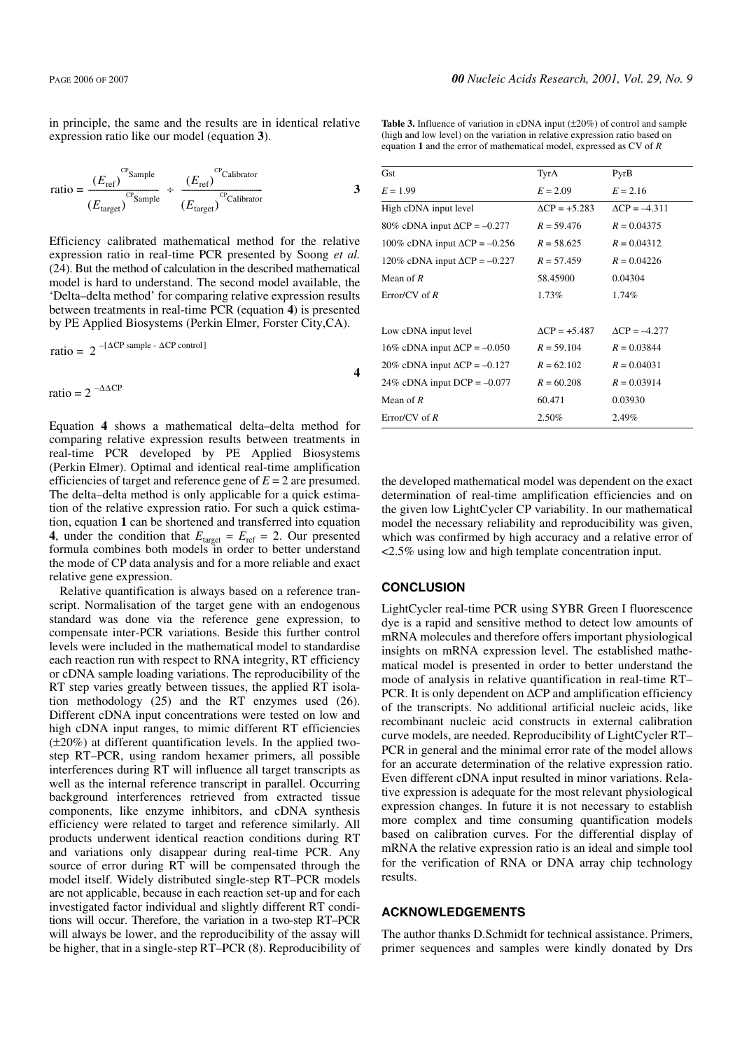in principle, the same and the results are in identical relative expression ratio like our model (equation **3**).

$$
ratio = \frac{(E_{\text{ref}})^{^{CP}}_{\text{Sample}}}{(E_{\text{target}})^{^{CP}}_{\text{Sample}}} \div \frac{(E_{\text{ref}})^{^{CP}}_{\text{Calibration}}}{(E_{\text{target}})^{^{CP}}_{\text{Calibration}}}
$$

Efficiency calibrated mathematical method for the relative expression ratio in real-time PCR presented by Soong *et al.* (24). But the method of calculation in the described mathematical model is hard to understand. The second model available, the 'Delta–delta method' for comparing relative expression results between treatments in real-time PCR (equation **4**) is presented by PE Applied Biosystems (Perkin Elmer, Forster City,CA).

ratio = 
$$
2^{-[\Delta CP \text{ sample - }\Delta CP \text{ control}]}
$$

$$
ratio = 2^{-\Delta \Delta CP}
$$

Equation **4** shows a mathematical delta–delta method for comparing relative expression results between treatments in real-time PCR developed by PE Applied Biosystems (Perkin Elmer). Optimal and identical real-time amplification efficiencies of target and reference gene of *E* = 2 are presumed. The delta–delta method is only applicable for a quick estimation of the relative expression ratio. For such a quick estimation, equation **1** can be shortened and transferred into equation **4**, under the condition that  $E_{\text{target}} = E_{\text{ref}} = 2$ . Our presented formula combines both models in order to better understand the mode of CP data analysis and for a more reliable and exact relative gene expression.

Relative quantification is always based on a reference transcript. Normalisation of the target gene with an endogenous standard was done via the reference gene expression, to compensate inter-PCR variations. Beside this further control levels were included in the mathematical model to standardise each reaction run with respect to RNA integrity, RT efficiency or cDNA sample loading variations. The reproducibility of the RT step varies greatly between tissues, the applied RT isolation methodology (25) and the RT enzymes used (26). Different cDNA input concentrations were tested on low and high cDNA input ranges, to mimic different RT efficiencies (±20%) at different quantification levels. In the applied twostep RT–PCR, using random hexamer primers, all possible interferences during RT will influence all target transcripts as well as the internal reference transcript in parallel. Occurring background interferences retrieved from extracted tissue components, like enzyme inhibitors, and cDNA synthesis efficiency were related to target and reference similarly. All products underwent identical reaction conditions during RT and variations only disappear during real-time PCR. Any source of error during RT will be compensated through the model itself. Widely distributed single-step RT–PCR models are not applicable, because in each reaction set-up and for each investigated factor individual and slightly different RT conditions will occur. Therefore, the variation in a two-step RT–PCR will always be lower, and the reproducibility of the assay will be higher, that in a single-step RT–PCR (8). Reproducibility of

**Table 3.** Influence of variation in cDNA input (±20%) of control and sample (high and low level) on the variation in relative expression ratio based on equation **1** and the error of mathematical model, expressed as CV of *R*

| Gst                                  | TyrA                 | PyrB                 |
|--------------------------------------|----------------------|----------------------|
| $E = 1.99$                           | $E = 2.09$           | $E = 2.16$           |
| High cDNA input level                | $\Delta CP = +5.283$ | $\Delta CP = -4.311$ |
| 80% cDNA input $\Delta CP = -0.277$  | $R = 59.476$         | $R = 0.04375$        |
| 100% cDNA input $\Delta CP = -0.256$ | $R = 58.625$         | $R = 0.04312$        |
| 120% cDNA input $\Delta CP = -0.227$ | $R = 57.459$         | $R = 0.04226$        |
| Mean of $R$                          | 58.45900             | 0.04304              |
| Error/CV of $R$                      | 1.73%                | 1.74%                |
|                                      |                      |                      |
| Low cDNA input level                 | $\Delta CP = +5.487$ | $\Delta CP = -4.277$ |
| 16% cDNA input $\Delta CP = -0.050$  | $R = 59.104$         | $R = 0.03844$        |
| 20% cDNA input $\Delta CP = -0.127$  | $R = 62.102$         | $R = 0.04031$        |
| 24\% cDNA input DCP = $-0.077$       | $R = 60.208$         | $R = 0.03914$        |
| Mean of $R$                          | 60.471               | 0.03930              |
| Error/CV of $R$                      | 2.50%                | 2.49%                |

the developed mathematical model was dependent on the exact determination of real-time amplification efficiencies and on the given low LightCycler CP variability. In our mathematical model the necessary reliability and reproducibility was given, which was confirmed by high accuracy and a relative error of <2.5% using low and high template concentration input.

## **CONCLUSION**

**4**

LightCycler real-time PCR using SYBR Green I fluorescence dye is a rapid and sensitive method to detect low amounts of mRNA molecules and therefore offers important physiological insights on mRNA expression level. The established mathematical model is presented in order to better understand the mode of analysis in relative quantification in real-time RT– PCR. It is only dependent on ∆CP and amplification efficiency of the transcripts. No additional artificial nucleic acids, like recombinant nucleic acid constructs in external calibration curve models, are needed. Reproducibility of LightCycler RT– PCR in general and the minimal error rate of the model allows for an accurate determination of the relative expression ratio. Even different cDNA input resulted in minor variations. Relative expression is adequate for the most relevant physiological expression changes. In future it is not necessary to establish more complex and time consuming quantification models based on calibration curves. For the differential display of mRNA the relative expression ratio is an ideal and simple tool for the verification of RNA or DNA array chip technology results.

## **ACKNOWLEDGEMENTS**

The author thanks D.Schmidt for technical assistance. Primers, primer sequences and samples were kindly donated by Drs